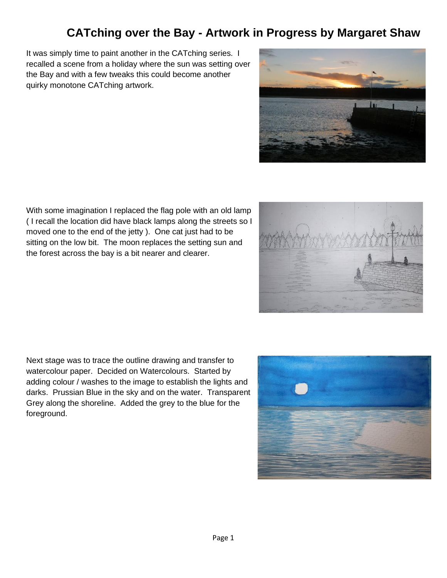## **CATching over the Bay - Artwork in Progress by Margaret Shaw**

It was simply time to paint another in the CATching series. I recalled a scene from a holiday where the sun was setting over the Bay and with a few tweaks this could become another quirky monotone CATching artwork.



With some imagination I replaced the flag pole with an old lamp ( I recall the location did have black lamps along the streets so I moved one to the end of the jetty ). One cat just had to be sitting on the low bit. The moon replaces the setting sun and the forest across the bay is a bit nearer and clearer.

Next stage was to trace the outline drawing and transfer to watercolour paper. Decided on Watercolours. Started by adding colour / washes to the image to establish the lights and darks. Prussian Blue in the sky and on the water. Transparent Grey along the shoreline. Added the grey to the blue for the foreground.



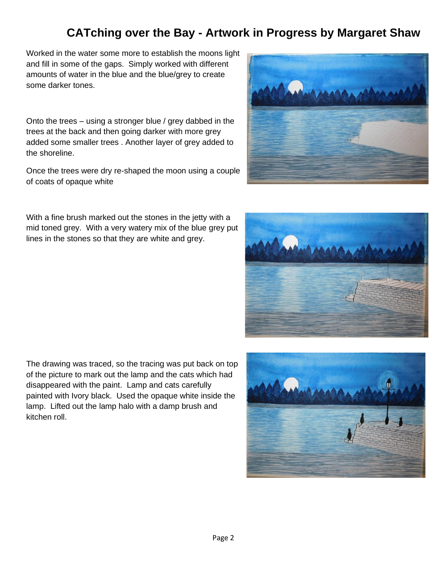## **CATching over the Bay - Artwork in Progress by Margaret Shaw**

Worked in the water some more to establish the moons light and fill in some of the gaps. Simply worked with different amounts of water in the blue and the blue/grey to create some darker tones.

Onto the trees – using a stronger blue / grey dabbed in the trees at the back and then going darker with more grey added some smaller trees . Another layer of grey added to the shoreline.

Once the trees were dry re-shaped the moon using a couple of coats of opaque white

With a fine brush marked out the stones in the jetty with a mid toned grey. With a very watery mix of the blue grey put lines in the stones so that they are white and grey.

The drawing was traced, so the tracing was put back on top of the picture to mark out the lamp and the cats which had disappeared with the paint. Lamp and cats carefully painted with Ivory black. Used the opaque white inside the lamp. Lifted out the lamp halo with a damp brush and kitchen roll.